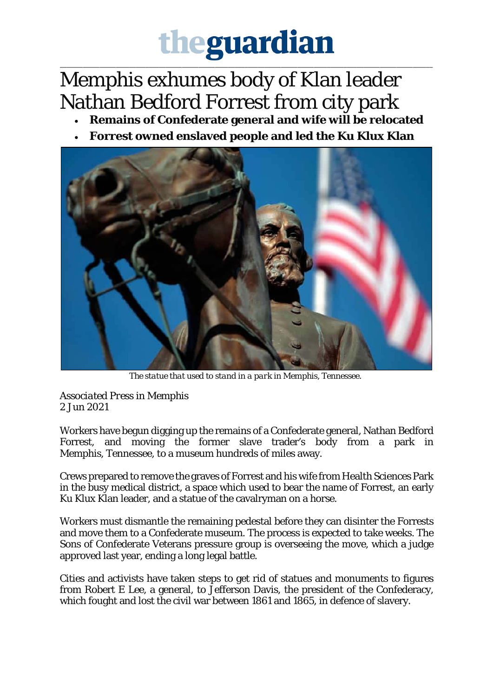## theguardian

\_\_\_\_\_\_\_\_\_\_\_\_\_\_\_\_\_\_\_\_\_\_\_\_\_\_\_\_\_\_\_\_\_\_\_\_\_\_\_\_\_\_\_\_\_\_\_\_\_\_\_\_\_\_\_\_\_\_\_\_\_\_\_\_\_\_\_\_\_\_\_\_\_\_\_\_\_\_\_\_\_\_\_\_\_\_\_\_\_\_\_\_\_\_\_\_\_\_\_\_\_\_\_\_\_\_\_\_\_\_\_\_\_

## Memphis exhumes body of Klan leader Nathan Bedford Forrest from city park

- **Remains of Confederate general and wife will be relocated**
- **Forrest owned enslaved people and led the Ku Klux Klan**



*The statue that used to stand in a park in Memphis, Tennessee.*

*Associated Press in Memphis* 2 Jun 2021

Workers have begun digging up the remains of a Confederate general, Nathan Bedford Forrest, and moving the former slave trader's body from a park in Memphis, Tennessee, to a museum hundreds of miles away.

Crews prepared to remove the graves of Forrest and his wife from Health Sciences Park in the busy medical district, a space which used to bear the name of Forrest, an early Ku Klux Klan leader, and a statue of the cavalryman on a horse.

Workers must dismantle the remaining pedestal before they can disinter the Forrests and move them to a Confederate museum. The process is expected to take weeks. The Sons of Confederate Veterans pressure group is overseeing the move, which a judge approved last year, ending a long legal battle.

Cities and activists have taken steps to get rid of statues and monuments to figures from Robert E Lee, a general, to Jefferson Davis, the president of the Confederacy, which fought and lost the civil war between 1861 and 1865, in defence of slavery.